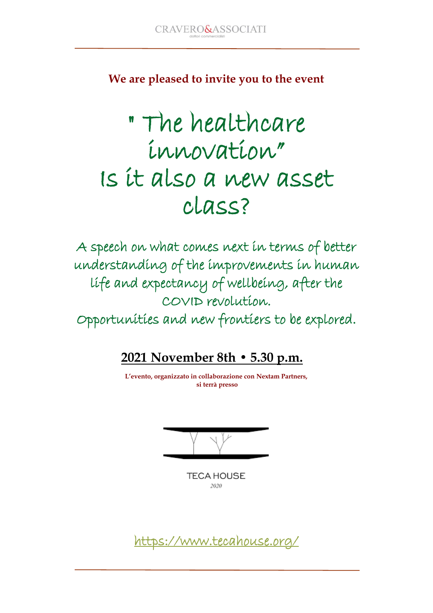**We are pleased to invite you to the event**

## " The healthcare innovation" Is it also a new asset class?

A speech on what comes next in terms of better understanding of the improvements in human life and expectancy of wellbeing, after the COVID revolution.

Opportunities and new frontiers to be explored.

## **2021 November 8th • 5.30 p.m.**

**L'evento, organizzato in collaborazione con Nextam Partners, si terrà presso** 

**TECA HOUSE** 2020

<https://www.tecahouse.org/>